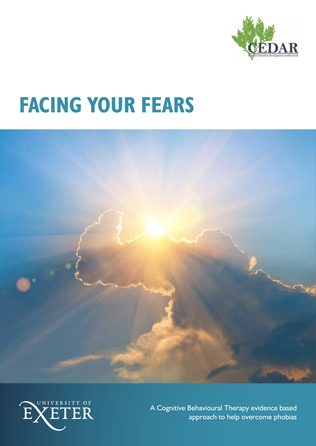

# **FACING YOUR FEARS**





A Cognitive Behavioural Therapy evidence based approach to help overcome phobias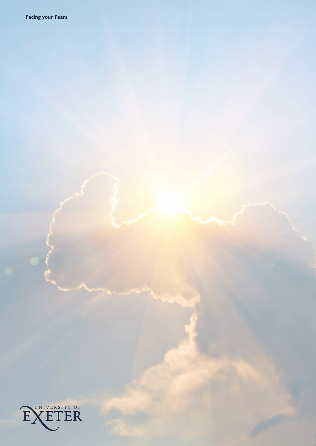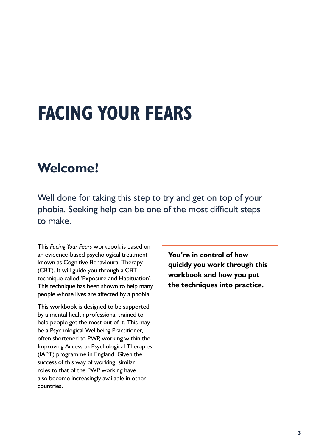## **FACING YOUR FEARS**

## **Welcome!**

Well done for taking this step to try and get on top of your phobia. Seeking help can be one of the most difficult steps to make.

This *Facing Your Fears* workbook is based on an evidence-based psychological treatment known as Cognitive Behavioural Therapy (CBT). It will guide you through a CBT technique called 'Exposure and Habituation'. This technique has been shown to help many people whose lives are affected by a phobia.

This workbook is designed to be supported by a mental health professional trained to help people get the most out of it. This may be a Psychological Wellbeing Practitioner, often shortened to PWP, working within the Improving Access to Psychological Therapies (IAPT) programme in England. Given the success of this way of working, similar roles to that of the PWP working have also become increasingly available in other countries.

**You're in control of how quickly you work through this workbook and how you put the techniques into practice.**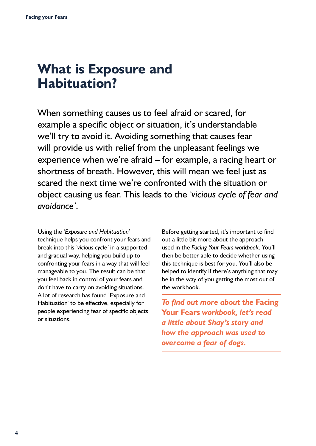## **What is Exposure and Habituation?**

When something causes us to feel afraid or scared, for example a specific object or situation, it's understandable we'll try to avoid it. Avoiding something that causes fear will provide us with relief from the unpleasant feelings we experience when we're afraid – for example, a racing heart or shortness of breath. However, this will mean we feel just as scared the next time we're confronted with the situation or object causing us fear. This leads to the *'vicious cycle of fear and avoidance'*.

Using the *'Exposure and Habituation'* technique helps you confront your fears and break into this *'vicious cycle'* in a supported and gradual way, helping you build up to confronting your fears in a way that will feel manageable to you. The result can be that you feel back in control of your fears and don't have to carry on avoiding situations. A lot of research has found 'Exposure and Habituation' to be effective, especially for people experiencing fear of specific objects or situations.

Before getting started, it's important to find out a little bit more about the approach used in the *Facing Your Fears workbook*. You'll then be better able to decide whether using this technique is best for you. You'll also be helped to identify if there's anything that may be in the way of you getting the most out of the workbook.

*To find out more about the* **Facing Your Fears** *workbook, let's read a little about Shay's story and how the approach was used to overcome a fear of dogs.*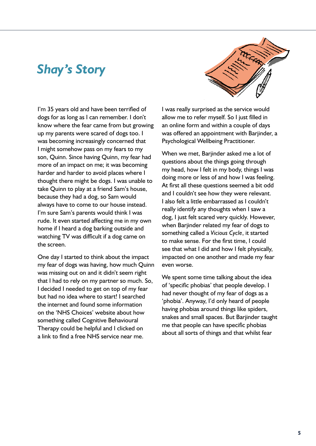## *Shay's Story*



I'm 35 years old and have been terrified of dogs for as long as I can remember. I don't know where the fear came from but growing up my parents were scared of dogs too. I was becoming increasingly concerned that I might somehow pass on my fears to my son, Quinn. Since having Quinn, my fear had more of an impact on me; it was becoming harder and harder to avoid places where I thought there might be dogs. I was unable to take Quinn to play at a friend Sam's house, because they had a dog, so Sam would always have to come to our house instead. I'm sure Sam's parents would think I was rude. It even started affecting me in my own home if I heard a dog barking outside and watching TV was difficult if a dog came on the screen.

One day I started to think about the impact my fear of dogs was having, how much Quinn was missing out on and it didn't seem right that I had to rely on my partner so much. So, I decided I needed to get on top of my fear but had no idea where to start! I searched the internet and found some information on the 'NHS Choices' website about how something called Cognitive Behavioural Therapy could be helpful and I clicked on a link to find a free NHS service near me.

I was really surprised as the service would allow me to refer myself. So I just filled in an online form and within a couple of days was offered an appointment with Barjinder, a Psychological Wellbeing Practitioner.

When we met, Barjinder asked me a lot of questions about the things going through my head, how I felt in my body, things I was doing more or less of and how I was feeling. At first all these questions seemed a bit odd and I couldn't see how they were relevant. I also felt a little embarrassed as I couldn't really identify any thoughts when I saw a dog, I just felt scared very quickly. However, when Barjinder related my fear of dogs to something called a *Vicious Cycle*, it started to make sense. For the first time, I could see that what I did and how I felt physically, impacted on one another and made my fear even worse.

We spent some time talking about the idea of 'specific phobias' that people develop. I had never thought of my fear of dogs as a 'phobia'. Anyway, I'd only heard of people having phobias around things like spiders, snakes and small spaces. But Barjinder taught me that people can have specific phobias about all sorts of things and that whilst fear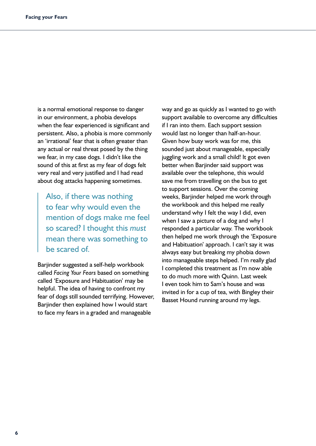is a normal emotional response to danger in our environment, a phobia develops when the fear experienced is significant and persistent. Also, a phobia is more commonly an 'irrational' fear that is often greater than any actual or real threat posed by the thing we fear, in my case dogs. I didn't like the sound of this at first as my fear of dogs felt very real and very justified and I had read about dog attacks happening sometimes.

Also, if there was nothing to fear why would even the mention of dogs make me feel so scared? I thought this *must* mean there was something to be scared of.

Barjinder suggested a self-help workbook called *Facing Your Fears* based on something called 'Exposure and Habituation' may be helpful. The idea of having to confront my fear of dogs still sounded terrifying. However, Barjinder then explained how I would start to face my fears in a graded and manageable

way and go as quickly as I wanted to go with support available to overcome any difficulties if I ran into them. Each support session would last no longer than half-an-hour. Given how busy work was for me, this sounded just about manageable, especially juggling work and a small child! It got even better when Barjinder said support was available over the telephone, this would save me from travelling on the bus to get to support sessions. Over the coming weeks, Barjinder helped me work through the workbook and this helped me really understand why I felt the way I did, even when I saw a picture of a dog and why I responded a particular way. The workbook then helped me work through the 'Exposure and Habituation' approach. I can't say it was always easy but breaking my phobia down into manageable steps helped. I'm really glad I completed this treatment as I'm now able to do much more with Quinn. Last week I even took him to Sam's house and was invited in for a cup of tea, with Bingley their Basset Hound running around my legs.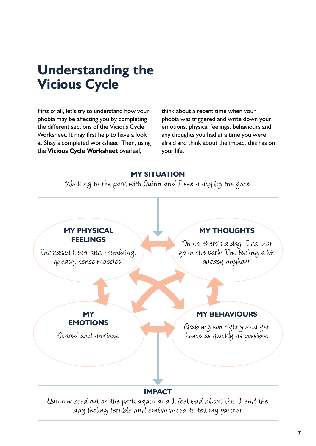## **Understanding the Vicious Cycle**

First of all, let's try to understand how your phobia may be affecting you by completing the different sections of the Vicious Cycle Worksheet. It may first help to have a look at Shay's completed worksheet. Then, using the **Vicious Cycle Worksheet** overleaf,

think about a recent time when your phobia was triggered and write down your emotions, physical feelings, behaviours and any thoughts you had at a time you were afraid and think about the impact this has on your life.

#### **MY SITUATION**

Walking to the park with Quinn and I see a dog by the gate.



#### **IMPACT**

Quinn missed out on the park again and I feel bad about this. I end the day feeling terrible and embarrassed to tell my partner.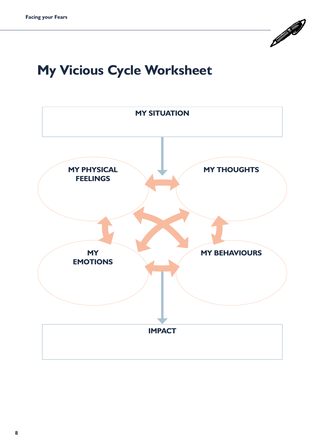

## **My Vicious Cycle Worksheet**

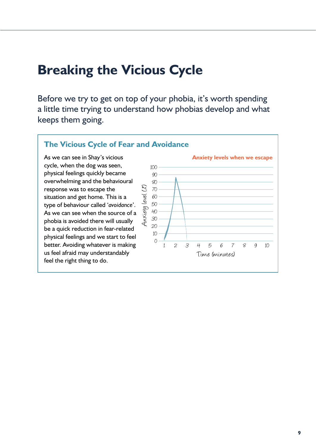## **Breaking the Vicious Cycle**

Before we try to get on top of your phobia, it's worth spending a little time trying to understand how phobias develop and what keeps them going.

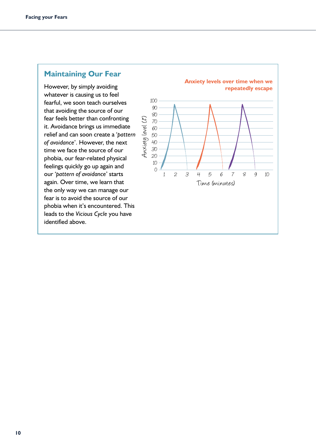#### **Maintaining Our Fear**

However, by simply avoiding whatever is causing us to feel fearful, we soon teach ourselves that avoiding the source of our fear feels better than confronting it. Avoidance brings us immediate relief and can soon create a '*pattern of avoidance*'. However, the next time we face the source of our phobia, our fear-related physical feelings quickly go up again and our '*pattern of avoidance*' starts again. Over time, we learn that the only way we can manage our fear is to avoid the source of our phobia when it's encountered. This leads to the *Vicious Cycle* you have identified above.

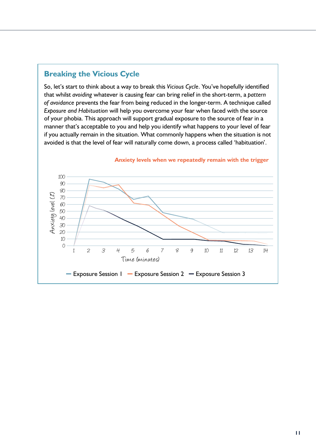#### **Breaking the Vicious Cycle**

So, let's start to think about a way to break this *Vicious Cycle*. You've hopefully identified that whilst *avoiding* whatever is causing fear can bring relief in the short-term, a *pattern of avoidance* prevents the fear from being reduced in the longer-term. A technique called *Exposure and Habituation* will help you overcome your fear when faced with the source of your phobia. This approach will support gradual exposure to the source of fear in a manner that's acceptable to you and help you identify what happens to your level of fear if you actually remain in the situation. What commonly happens when the situation is not avoided is that the level of fear will naturally come down, a process called 'habituation'.



#### **Anxiety levels when we repeatedly remain with the trigger**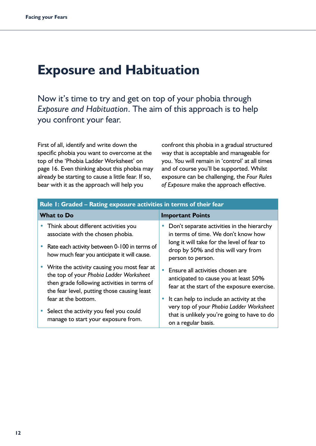## **Exposure and Habituation**

Now it's time to try and get on top of your phobia through *Exposure and Habituation*. The aim of this approach is to help you confront your fear.

First of all, identify and write down the specific phobia you want to overcome at the top of the 'Phobia Ladder Worksheet' on page 16. Even thinking about this phobia may already be starting to cause a little fear. If so, bear with it as the approach will help you

confront this phobia in a gradual structured way that is acceptable and manageable for you. You will remain in 'control' at all times and of course you'll be supported. Whilst exposure can be challenging, the *Four Rules of Exposure* make the approach effective.

| Rule I: Graded - Rating exposure activities in terms of their fear                                                                                                                   |                                                                                                                                                             |  |  |  |  |
|--------------------------------------------------------------------------------------------------------------------------------------------------------------------------------------|-------------------------------------------------------------------------------------------------------------------------------------------------------------|--|--|--|--|
| <b>What to Do</b>                                                                                                                                                                    | <b>Important Points</b>                                                                                                                                     |  |  |  |  |
| Think about different activities you<br>associate with the chosen phobia.                                                                                                            | Don't separate activities in the hierarchy<br>in terms of time. We don't know how                                                                           |  |  |  |  |
| Rate each activity between 0-100 in terms of<br>how much fear you anticipate it will cause.                                                                                          | long it will take for the level of fear to<br>drop by 50% and this will vary from<br>person to person.                                                      |  |  |  |  |
| Write the activity causing you most fear at<br>the top of your Phobia Ladder Worksheet<br>then grade following activities in terms of<br>the fear level, putting those causing least | Ensure all activities chosen are<br>anticipated to cause you at least 50%<br>fear at the start of the exposure exercise.                                    |  |  |  |  |
| fear at the bottom.<br>Select the activity you feel you could<br>manage to start your exposure from.                                                                                 | It can help to include an activity at the<br>very top of your Phobia Ladder Worksheet<br>that is unlikely you're going to have to do<br>on a regular basis. |  |  |  |  |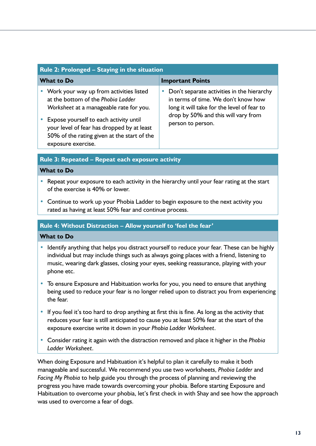| <b>Rule 2: Prolonged - Staying in the situation</b>                                                                                                                                                                                                                                   |                                                                                                                                                                                             |  |  |  |  |  |
|---------------------------------------------------------------------------------------------------------------------------------------------------------------------------------------------------------------------------------------------------------------------------------------|---------------------------------------------------------------------------------------------------------------------------------------------------------------------------------------------|--|--|--|--|--|
| <b>What to Do</b>                                                                                                                                                                                                                                                                     | <b>Important Points</b>                                                                                                                                                                     |  |  |  |  |  |
| Work your way up from activities listed<br>at the bottom of the Phobia Ladder<br>Worksheet at a manageable rate for you.<br>Expose yourself to each activity until<br>your level of fear has dropped by at least<br>50% of the rating given at the start of the<br>exposure exercise. | Don't separate activities in the hierarchy<br>in terms of time. We don't know how<br>long it will take for the level of fear to<br>drop by 50% and this will vary from<br>person to person. |  |  |  |  |  |

#### **Rule 3: Repeated – Repeat each exposure activity**

#### **What to Do**

- Repeat your exposure to each activity in the hierarchy until your fear rating at the start of the exercise is 40% or lower.
- Continue to work up your Phobia Ladder to begin exposure to the next activity you rated as having at least 50% fear and continue process.

#### **Rule 4: Without Distraction – Allow yourself to 'feel the fear'**

#### **What to Do**

- Identify anything that helps you distract yourself to reduce your fear. These can be highly individual but may include things such as always going places with a friend, listening to music, wearing dark glasses, closing your eyes, seeking reassurance, playing with your phone etc.
- To ensure Exposure and Habituation works for you, you need to ensure that anything being used to reduce your fear is no longer relied upon to distract you from experiencing the fear.
- If you feel it's too hard to drop anything at first this is fine. As long as the activity that reduces your fear is still anticipated to cause you at least 50% fear at the start of the exposure exercise write it down in your *Phobia Ladder Worksheet*.
- Consider rating it again with the distraction removed and place it higher in the *Phobia Ladder Worksheet*.

When doing Exposure and Habituation it's helpful to plan it carefully to make it both manageable and successful. We recommend you use two worksheets, *Phobia Ladder* and *Facing My Phobia* to help guide you through the process of planning and reviewing the progress you have made towards overcoming your phobia. Before starting Exposure and Habituation to overcome your phobia, let's first check in with Shay and see how the approach was used to overcome a fear of dogs.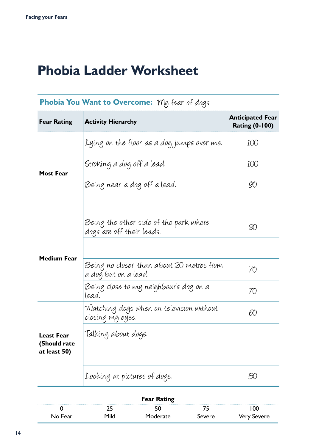## **Phobia Ladder Worksheet**

|                            | <b>Phobia You Want to Overcome:</b> My fear of dogs                 |                                                  |  |  |  |
|----------------------------|---------------------------------------------------------------------|--------------------------------------------------|--|--|--|
| <b>Fear Rating</b>         | <b>Activity Hierarchy</b>                                           | <b>Anticipated Fear</b><br><b>Rating (0-100)</b> |  |  |  |
|                            | Lying on the floor as a dog jumps over me.                          | 100                                              |  |  |  |
| <b>Most Fear</b>           | Stroking a dog off a lead.                                          | 100                                              |  |  |  |
|                            | Being near a dog off a lead.                                        | 90                                               |  |  |  |
|                            |                                                                     |                                                  |  |  |  |
|                            | Being the other side of the park where<br>dogs are off their leads. | 80                                               |  |  |  |
| <b>Medium Fear</b>         |                                                                     |                                                  |  |  |  |
|                            | Being no closer than about 20 metres from<br>a dog but on a lead.   | 70                                               |  |  |  |
|                            | Being close to my neighbour's dog on a<br>lead.                     | 70                                               |  |  |  |
|                            | Watching dogs when on television without<br>closing my eyes.        | 60                                               |  |  |  |
| Least Fear<br>(Should rate | Talking about dogs.                                                 |                                                  |  |  |  |
| at least 50)               |                                                                     |                                                  |  |  |  |
|                            | Looking at pictures of dogs.                                        | 50                                               |  |  |  |

|         |      | <b>Fear Rating</b> |        |                    |
|---------|------|--------------------|--------|--------------------|
|         |      |                    |        | 00                 |
| No Fear | Mild | Moderate           | Severe | <b>Very Severe</b> |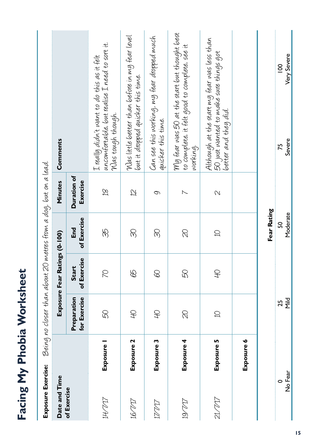Facing My Phobia Worksheet **Facing My Phobia Worksheet**

| Exposure Exercise:               | Being no closer than about 20 metres from a dog, but on a lead. |                               |                           |                           |                                                                                                                 |
|----------------------------------|-----------------------------------------------------------------|-------------------------------|---------------------------|---------------------------|-----------------------------------------------------------------------------------------------------------------|
| Date and Time                    |                                                                 | Exposure Fear Ratings (0-100) |                           | Minutes                   | <b>Comments</b>                                                                                                 |
| of Exercise                      | Preparation<br>for Exercise                                     | of Exercise<br>Start          | of Exercise<br><b>End</b> | Duration of<br>Exercise   |                                                                                                                 |
| Exposure<br>IA/M                 | B                                                               | R                             | E                         | $\widetilde{\varnothing}$ | uncomfortable but realise I need to sort it.<br>I really didn't want to do this as it felt<br>Nas tough though. |
| Exposure <sub>2</sub><br>10/1/17 | P                                                               | 65                            | B                         | $\overline{\mathcal{U}}$  | Mas little better than before in my fear level<br>but it dropped quicker this time.                             |
| Exposure 3<br>17177              | $\mathcal{L}$                                                   | $\otimes$                     | R)                        | Ó                         | Can see this working, my fear dropped much<br>quicker this time.                                                |
| Exposure 4<br>10/1/17            | $\varnothing$                                                   | 89                            | R                         |                           | My fear was 50 at the start but thought best<br>to complete, it felt good to complete, see it<br>working.       |
| Exposure 5                       | $\mathcal{O}$                                                   | $\mathcal{L}$                 | g                         | $\mathcal{U}$             | Although at the start my fear was less than<br>50 just wanted to make sure things got<br>better and they did.   |
| Exposure 6                       |                                                                 |                               |                           |                           |                                                                                                                 |
|                                  |                                                                 |                               | Fear Rating               |                           |                                                                                                                 |
| No Fear<br>$\circ$               | Mild<br>25                                                      |                               | Moderate<br>50            |                           | <b>Very Severe</b><br>$\overline{0}$<br>Severe<br>75                                                            |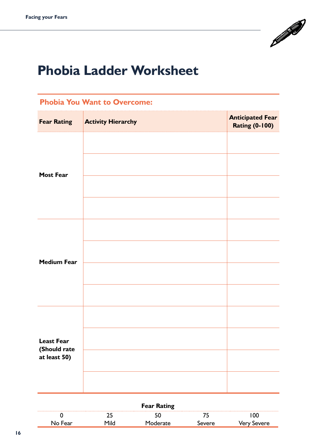

## **Phobia Ladder Worksheet**

|                                                   | <b>Phobia You Want to Overcome:</b> |                                                  |
|---------------------------------------------------|-------------------------------------|--------------------------------------------------|
| <b>Fear Rating</b>                                | <b>Activity Hierarchy</b>           | <b>Anticipated Fear</b><br><b>Rating (0-100)</b> |
| <b>Most Fear</b>                                  |                                     |                                                  |
| <b>Medium Fear</b>                                |                                     |                                                  |
| <b>Least Fear</b><br>(Should rate<br>at least 50) |                                     |                                                  |

| <b>Fear Rating</b> |      |          |        |                    |  |
|--------------------|------|----------|--------|--------------------|--|
|                    |      |          |        | 00                 |  |
| No Fear            | Mild | Moderate | Severe | <b>Very Severe</b> |  |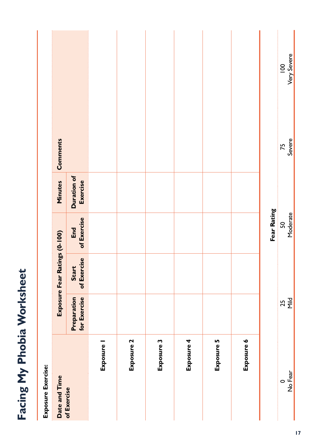# Facing My Phobia Worksheet **Facing My Phobia Worksheet**

| ٥ | נ |  |
|---|---|--|
|   |   |  |
|   |   |  |
|   |   |  |
|   |   |  |
|   |   |  |
|   |   |  |
|   |   |  |
|   |   |  |
|   |   |  |
|   |   |  |
|   |   |  |

| Exposure Exercise: | Date and Time                 | of Exercise                    | Exposure 1 | Exposure 2 | Exposure 3 | Exposure 4 | Exposure 5 | Exposure 6 |             | 0<br>No Fear                                           |
|--------------------|-------------------------------|--------------------------------|------------|------------|------------|------------|------------|------------|-------------|--------------------------------------------------------|
|                    |                               | Preparation<br>for Exercise    |            |            |            |            |            |            |             | $\frac{25}{N}$                                         |
|                    | Exposure Fear Ratings (0-100) | of Exercise<br>Start           |            |            |            |            |            |            |             |                                                        |
|                    |                               | of Exercise<br>End             |            |            |            |            |            |            | Fear Rating | Moderate<br>50                                         |
|                    | Minutes                       | Duration of<br><b>Exercise</b> |            |            |            |            |            |            |             |                                                        |
|                    | Comments                      |                                |            |            |            |            |            |            |             | <b>Very Severe</b><br>$\overline{100}$<br>75<br>Severe |
|                    |                               |                                |            |            |            |            |            |            |             |                                                        |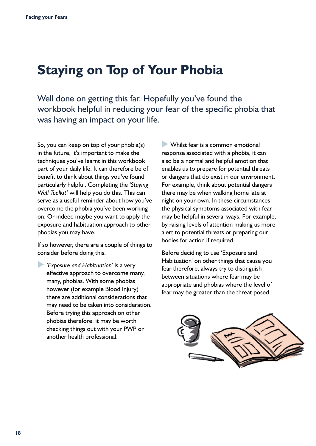### **Staying on Top of Your Phobia**

Well done on getting this far. Hopefully you've found the workbook helpful in reducing your fear of the specific phobia that was having an impact on your life.

So, you can keep on top of your phobia(s) in the future, it's important to make the techniques you've learnt in this workbook part of your daily life. It can therefore be of benefit to think about things you've found particularly helpful. Completing the *'Staying Well Toolkit'* will help you do this. This can serve as a useful reminder about how you've overcome the phobia you've been working on. Or indeed maybe you want to apply the exposure and habituation approach to other phobias you may have.

If so however, there are a couple of things to consider before doing this.

 *'Exposure and Habituation'* is a very effective approach to overcome many, many, phobias. With some phobias however (for example Blood Injury) there are additional considerations that may need to be taken into consideration. Before trying this approach on other phobias therefore, it may be worth checking things out with your PWP or another health professional.

 Whilst fear is a common emotional response associated with a phobia, it can also be a normal and helpful emotion that enables us to prepare for potential threats or dangers that do exist in our environment. For example, think about potential dangers there may be when walking home late at night on your own. In these circumstances the physical symptoms associated with fear may be helpful in several ways. For example, by raising levels of attention making us more alert to potential threats or preparing our bodies for action if required.

Before deciding to use 'Exposure and Habituation' on other things that cause you fear therefore, always try to distinguish between situations where fear may be appropriate and phobias where the level of fear may be greater than the threat posed.

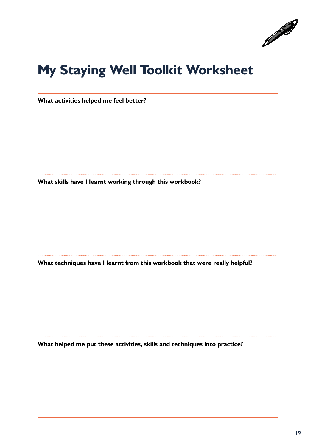

## **My Staying Well Toolkit Worksheet**

**What activities helped me feel better?** 

**What skills have I learnt working through this workbook?** 

**What techniques have I learnt from this workbook that were really helpful?**

**What helped me put these activities, skills and techniques into practice?**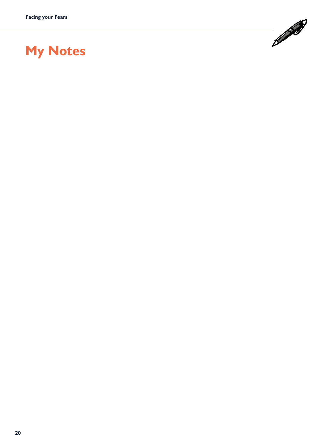

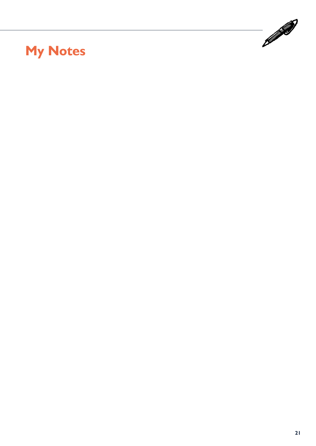## **My Notes**

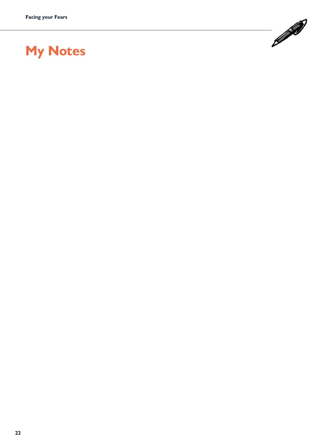

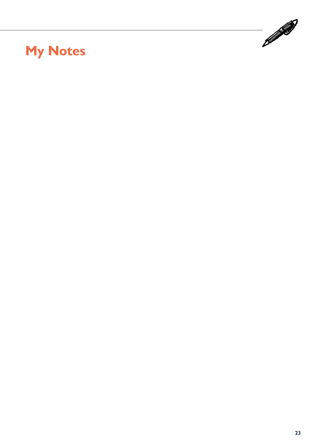## **My Notes**